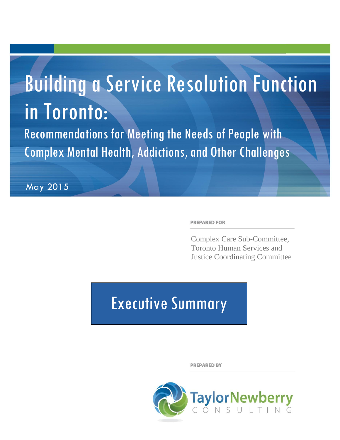# Building a Service Resolution Function in Toronto:

Recommendations for Meeting the Needs of People with Complex Mental Health, Addictions, and Other Challenges

May 2015

**PREPARED FOR** 

Complex Care Sub-Committee, Toronto Human Services and Justice Coordinating Committee

# Executive Summary

**PREPARED BY** 

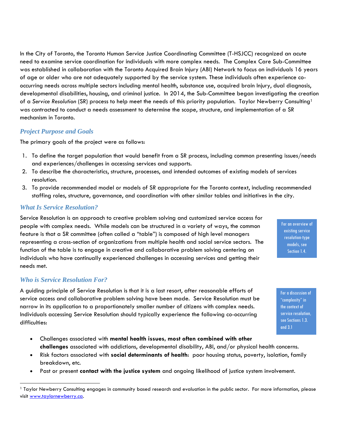In the City of Toronto, the Toronto Human Service Justice Coordinating Committee (T-HSJCC) recognized an acute need to examine service coordination for individuals with more complex needs. The Complex Care Sub-Committee was established in collaboration with the Toronto Acquired Brain Injury (ABI) Network to focus on individuals 16 years of age or older who are not adequately supported by the service system. These individuals often experience cooccurring needs across multiple sectors including mental health, substance use, acquired brain Injury, dual diagnosis, developmental disabilities, housing, and criminal justice. In 2014, the Sub-Committee began investigating the creation of a *Service Resolution* (SR) process to help meet the needs of this priority population. Taylor Newberry Consulting<sup>1</sup> was contracted to conduct a needs assessment to determine the scope, structure, and implementation of a SR mechanism in Toronto.

## *Project Purpose and Goals*

The primary goals of the project were as follows:

- 1. To define the target population that would benefit from a SR process, including common presenting issues/needs and experiences/challenges in accessing services and supports.
- 2. To describe the characteristics, structure, processes, and intended outcomes of existing models of services resolution.
- 3. To provide recommended model or models of SR appropriate for the Toronto context, including recommended staffing roles, structure, governance, and coordination with other similar tables and initiatives in the city.

#### *What Is Service Resolution?*

Service Resolution is an approach to creative problem solving and customized service access for people with complex needs. While models can be structured in a variety of ways, the common feature is that a SR committee (often called a "table") is composed of high level managers representing a cross-section of organizations from multiple health and social service sectors. The function of the table is to engage in creative and collaborative problem solving centering on individuals who have continually experienced challenges in accessing services and getting their needs met.

#### *Who is Service Resolution For?*

 $\overline{a}$ 

A guiding principle of Service Resolution is that it is a last resort, after reasonable efforts of service access and collaborative problem solving have been made. Service Resolution must be narrow in its application to a proportionately smaller number of citizens with complex needs. Individuals accessing Service Resolution should typically experience the following co-occurring difficulties:

- Challenges associated with **mental health issues, most often combined with other challenges** associated with addictions, developmental disability, ABI, and/or physical health concerns.
- Risk factors associated with **social determinants of health**: poor housing status, poverty, isolation, family breakdown, etc.
- Past or present **contact with the justice system** and ongoing likelihood of justice system involvement.

For an overview of existing service resolution-type models, see Section 1.4.

For a discussion of "complexity" in the context of service resolution, see Sections 1.3. and 3.1

<sup>1</sup> Taylor Newberry Consulting engages in community based research and evaluation in the public sector. For more information, please visit [www.taylornewberry.ca.](http://www.taylornewberry.ca/)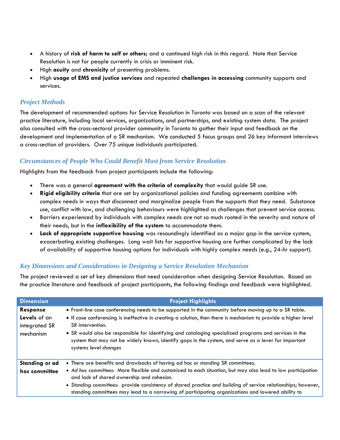- A history of **risk of harm to self or others;** and a continued high risk in this regard. Note that Service Resolution is not for people currently in crisis or imminent risk.
- High **acuity** and **chronicity** of presenting problems.
- High **usage of EMS and justice services** and repeated **challenges in accessing** community supports and services.

# *Project Methods*

The development of recommended options for Service Resolution in Toronto was based on a scan of the relevant practice literature, including local services, organizations, and partnerships, and existing system data. The project also consulted with the cross-sectoral provider community in Toronto to gather their input and feedback on the development and implementation of a SR mechanism. We conducted 5 focus groups and 26 key informant interviews a cross-section of providers. Over 75 unique individuals participated.

## *Circumstances of People Who Could Benefit Most from Service Resolution*

Highlights from the feedback from project participants include the following:

- There was a general **agreement with the criteria of complexity** that would guide SR use.
- **Rigid eligibility criteria** that are set by organizational policies and funding agreements combine with complex needs in ways that disconnect and marginalize people from the supports that they need. Substance use, conflict with law, and challenging behaviours were highlighted as challenges that prevent service access.
- Barriers experienced by individuals with complex needs are not so much rooted in the severity and nature of their needs, but in the **inflexibility of the system** to accommodate them.
- **Lack of appropriate supportive housing** was resoundingly identified as a major gap in the service system, exacerbating existing challenges. Long wait lists for supportive housing are further complicated by the lack of availability of supportive housing options for individuals with highly complex needs (e.g., 24-hr support).

## *Key Dimensions and Considerations in Designing a Service Resolution Mechanism*

The project reviewed a set of key dimensions that need consideration when designing Service Resolution. Based on the practice literature and feedback of project participants, the following findings and feedback were highlighted.

| <b>Dimension</b>                                              | <b>Project Highlights</b>                                                                                                                                                                                                                                                                                                                                                                                                                                                               |  |  |
|---------------------------------------------------------------|-----------------------------------------------------------------------------------------------------------------------------------------------------------------------------------------------------------------------------------------------------------------------------------------------------------------------------------------------------------------------------------------------------------------------------------------------------------------------------------------|--|--|
| <b>Response</b><br>Levels of an<br>integrated SR<br>mechanism | • Front-line case conferencing needs to be supported in the community before moving up to a SR table.<br>• If case conferencing is ineffective in creating a solution, then there is mechanism to provide a higher level<br>SR intervention.<br>• SR would also be responsible for identifying and cataloging specialized programs and services in the<br>system that may not be widely known, identify gaps in the system, and serve as a lever for important<br>systems level changes |  |  |
| Standing or ad<br>hoc committee                               | • There are benefits and drawbacks of having ad hoc or standing SR committees.<br>• Ad hoc committees: More flexible and customized to each situation, but may also lead to low participation<br>and lack of shared ownership and cohesion.<br>• Standing committees: provide consistency of shared practice and building of service relationships; however,<br>standing committees may lead to a narrowing of participating organizations and lowered ability to                       |  |  |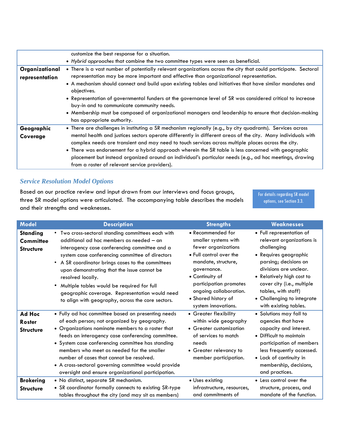|                | customize the best response for a situation.                                                                                                                                                                                                                                                                               |  |  |  |
|----------------|----------------------------------------------------------------------------------------------------------------------------------------------------------------------------------------------------------------------------------------------------------------------------------------------------------------------------|--|--|--|
|                | • Hybrid approaches that combine the two committee types were seen as beneficial.                                                                                                                                                                                                                                          |  |  |  |
| Organizational | • There is a vast number of potentially relevant organizations across the city that could participate. Sectoral                                                                                                                                                                                                            |  |  |  |
| representation | representation may be more important and effective than organizational representation.                                                                                                                                                                                                                                     |  |  |  |
|                | • A mechanism should connect and build upon existing tables and initiatives that have similar mandates and<br>objectives.                                                                                                                                                                                                  |  |  |  |
|                | • Representation of governmental funders at the governance level of SR was considered critical to increase<br>buy-in and to communicate community needs.                                                                                                                                                                   |  |  |  |
|                | • Membership must be composed of organizational managers and leadership to ensure that decision-making<br>has appropriate authority.                                                                                                                                                                                       |  |  |  |
| Geographic     | • There are challenges in instituting a SR mechanism regionally (e.g., by city quadrants). Services across                                                                                                                                                                                                                 |  |  |  |
| Coverage       | mental health and justices sectors operate differently in different areas of the city. Many individuals with<br>complex needs are transient and may need to touch services across multiple places across the city.<br>• There was endorsement for a hybrid approach wherein the SR table is less concerned with geographic |  |  |  |
|                | placement but instead organized around an individual's particular needs (e.g., ad hoc meetings, drawing<br>from a roster of relevant service providers).                                                                                                                                                                   |  |  |  |

# *Service Resolution Model Options*

Based on our practice review and input drawn from our interviews and focus groups, three SR model options were articulated. The accompanying table describes the models and their strengths and weaknesses.

For details regarding SR model options, see Section 3.3.

| <b>Model</b>                                            | <b>Description</b>                                                                                                                                                                                                                                                                                                                                                                                                                                                               | <b>Strengths</b>                                                                                                                                                                                                                                       | <b>Weaknesses</b>                                                                                                                                                                                                                                                                         |
|---------------------------------------------------------|----------------------------------------------------------------------------------------------------------------------------------------------------------------------------------------------------------------------------------------------------------------------------------------------------------------------------------------------------------------------------------------------------------------------------------------------------------------------------------|--------------------------------------------------------------------------------------------------------------------------------------------------------------------------------------------------------------------------------------------------------|-------------------------------------------------------------------------------------------------------------------------------------------------------------------------------------------------------------------------------------------------------------------------------------------|
| <b>Standing</b><br><b>Committee</b><br><b>Structure</b> | • Two cross-sectoral standing committees each with<br>additional ad hoc members as needed - an<br>interagency case conferencing committee and a<br>system case conferencing committee of directors<br>• A SR coordinator brings cases to the committees<br>upon demonstrating that the issue cannot be<br>resolved locally.<br>Multiple tables would be required for full<br>geographic coverage. Representation would need<br>to align with geography, across the core sectors. | • Recommended for<br>smaller systems with<br>fewer organizations<br>• Full control over the<br>mandate, structure,<br>governance.<br>• Continuity of<br>participation promotes<br>ongoing collaboration.<br>• Shared history of<br>system innovations. | • Full representation of<br>relevant organizations is<br>challenging<br>• Requires geographic<br>parsing; decisions on<br>divisions are unclear.<br>• Relatively high cost to<br>cover city (i.e., multiple<br>tables, with staff)<br>• Challenging to integrate<br>with existing tables. |
| Ad Hoc<br><b>Roster</b><br><b>Structure</b>             | • Fully ad hoc committee based on presenting needs<br>of each person; not organized by geography.<br>• Organizations nominate members to a roster that<br>feeds an interagency case conferencing committee.<br>• System case conferencing committee has standing<br>members who meet as needed for the smaller<br>number of cases that cannot be resolved.<br>• A cross-sectoral governing committee would provide<br>oversight and ensure organizational participation.         | • Greater flexibility<br>within wide geography<br>• Greater customization<br>of services to match<br>needs<br>• Greater relevancy to<br>member participation.                                                                                          | • Solutions may fall to<br>agencies that have<br>capacity and interest.<br>• Difficult to maintain<br>participation of members<br>less frequently accessed.<br>• Lack of continuity in<br>membership, decisions,<br>and practices.                                                        |
| <b>Brokering</b><br><b>Structure</b>                    | • No distinct, separate SR mechanism.<br>• SR coordinator formally connects to existing SR-type<br>tables throughout the city (and may sit as members)                                                                                                                                                                                                                                                                                                                           | • Uses existing<br>infrastructure, resources,<br>and commitments of                                                                                                                                                                                    | • Less control over the<br>structure, process, and<br>mandate of the function.                                                                                                                                                                                                            |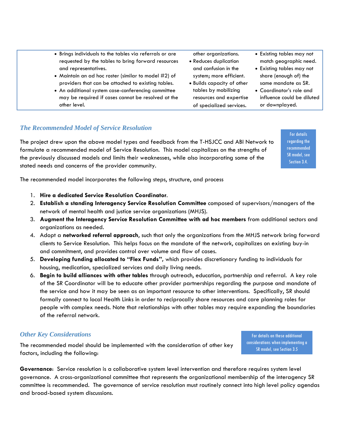- Brings individuals to the tables via referrals or are requested by the tables to bring forward resources and representatives.
- Maintain an ad hoc roster (similar to model #2) of providers that can be attached to existing tables.
- An additional system case-conferencing committee may be required if cases cannot be resolved at the other level.
- other organizations.
- Reduces duplication and confusion in the system; more efficient.
- Builds capacity of other tables by mobilizing resources and expertise of specialized services.
- Existing tables may not match geographic need.
- Existing tables may not share (enough of) the same mandate as SR.
- Coordinator's role and influence could be diluted or downplayed.

## *The Recommended Model of Service Resolution*

The project drew upon the above model types and feedback from the T-HSJCC and ABI Network to formulate a recommended model of Service Resolution. This model capitalizes on the strengths of the previously discussed models and limits their weaknesses, while also incorporating some of the stated needs and concerns of the provider community.

For details regarding the recommended SR model, see Section 3.4.

The recommended model incorporates the following steps, structure, and process

- 1. **Hire a dedicated Service Resolution Coordinator**.
- 2. **Establish a standing Interagency Service Resolution Committee** composed of supervisors/managers of the network of mental health and justice service organizations (MHJS).
- 3. **Augment the Interagency Service Resolution Committee with ad hoc members** from additional sectors and organizations as needed.
- 4. Adopt a **networked referral approach**, such that only the organizations from the MHJS network bring forward clients to Service Resolution. This helps focus on the mandate of the network, capitalizes on existing buy-in and commitment, and provides control over volume and flow of cases.
- 5. **Developing funding allocated to "Flex Funds",** which provides discretionary funding to individuals for housing, medication, specialized services and daily living needs.
- 6. **Begin to build alliances with other tables** through outreach, education, partnership and referral. A key role of the SR Coordinator will be to educate other provider partnerships regarding the purpose and mandate of the service and how it may be seen as an important resource to other interventions. Specifically, SR should formally connect to local Health Links in order to reciprocally share resources and care planning roles for people with complex needs. Note that relationships with other tables may require expanding the boundaries of the referral network.

#### *Other Key Considerations*

The recommended model should be implemented with the consideration of other key factors, including the following:

For details on these additional considerations when implementing a SR model, see Section 3.5

**Governance**: Service resolution is a collaborative system level intervention and therefore requires system level governance. A cross-organizational committee that represents the organizational membership of the interagency SR committee is recommended. The governance of service resolution must routinely connect into high level policy agendas and broad-based system discussions.